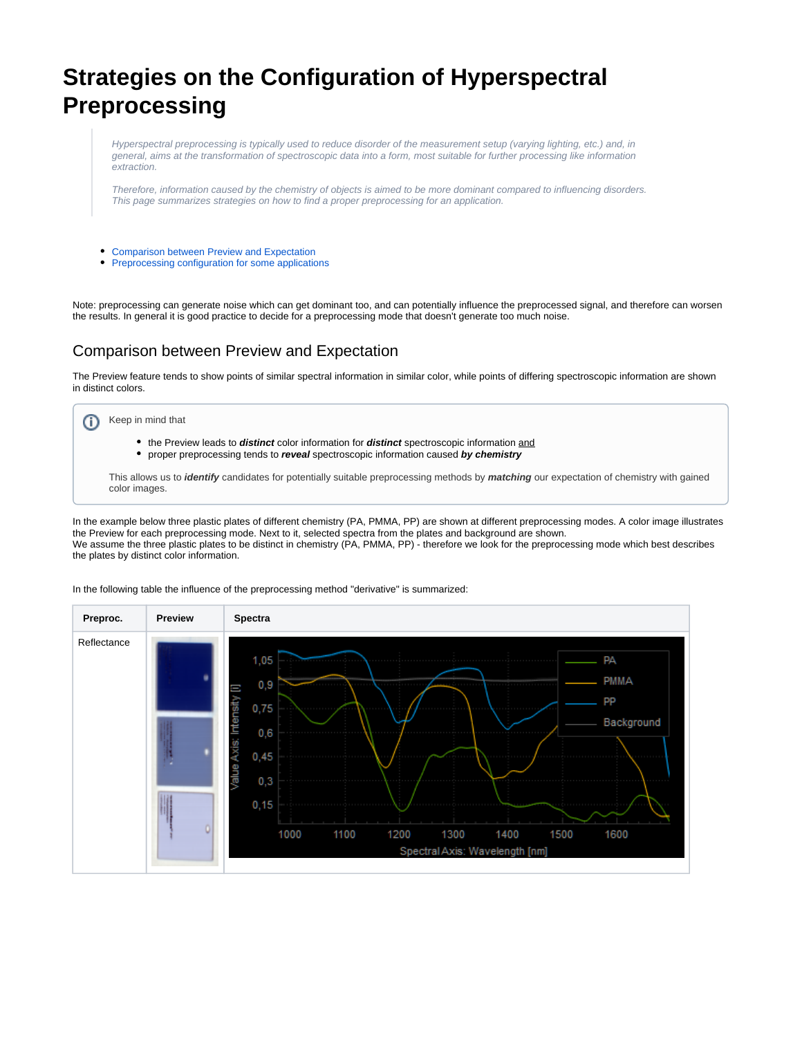## **Strategies on the Configuration of Hyperspectral Preprocessing**

Hyperspectral preprocessing is typically used to reduce disorder of the measurement setup (varying lighting, etc.) and, in general, aims at the transformation of spectroscopic data into a form, most suitable for further processing like information extraction.

Therefore, information caused by the chemistry of objects is aimed to be more dominant compared to influencing disorders. This page summarizes strategies on how to find a proper preprocessing for an application.

- [Comparison between Preview and Expectation](#page-0-0)
- [Preprocessing configuration for some applications](#page-3-0)

Note: preprocessing can generate noise which can get dominant too, and can potentially influence the preprocessed signal, and therefore can worsen the results. In general it is good practice to decide for a preprocessing mode that doesn't generate too much noise.

## <span id="page-0-0"></span>Comparison between Preview and Expectation

The Preview feature tends to show points of similar spectral information in similar color, while points of differing spectroscopic information are shown in distinct colors.

## Keep in mind that ⋒

- the Preview leads to **distinct** color information for **distinct** spectroscopic information and
- proper preprocessing tends to **reveal** spectroscopic information caused **by chemistry**

This allows us to **identify** candidates for potentially suitable preprocessing methods by **matching** our expectation of chemistry with gained color images.

In the example below three plastic plates of different chemistry (PA, PMMA, PP) are shown at different preprocessing modes. A color image illustrates the Preview for each preprocessing mode. Next to it, selected spectra from the plates and background are shown. We assume the three plastic plates to be distinct in chemistry (PA, PMMA, PP) - therefore we look for the preprocessing mode which best describes the plates by distinct color information.



In the following table the influence of the preprocessing method "derivative" is summarized: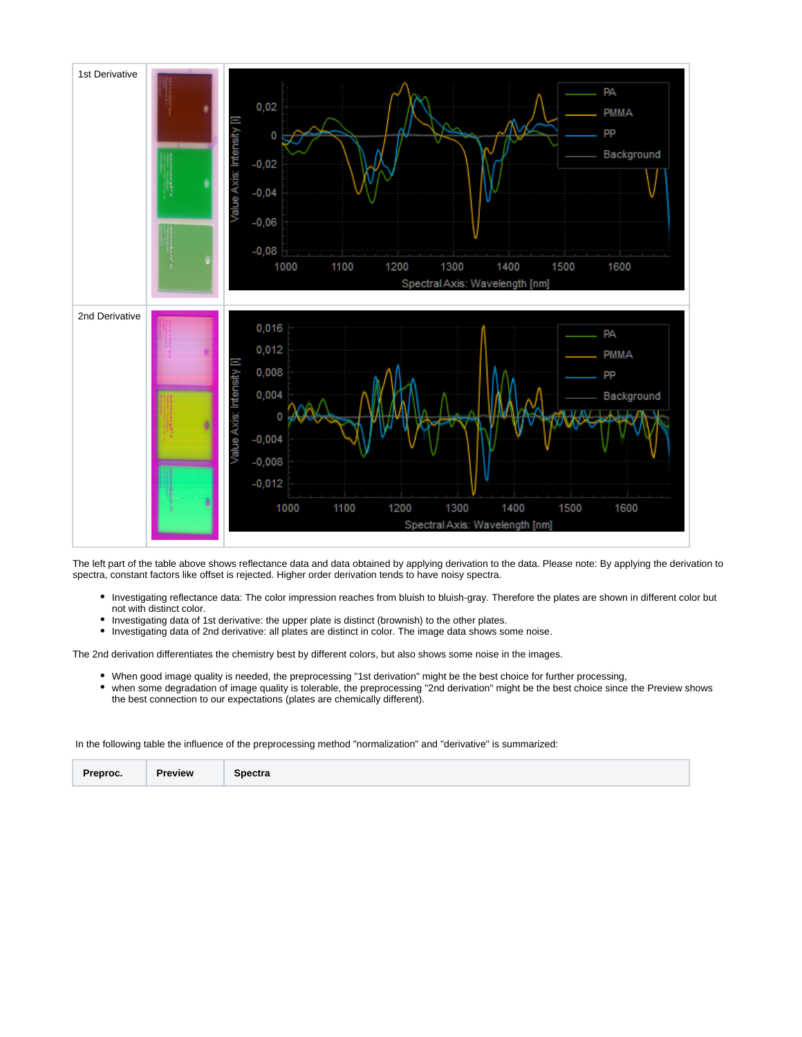

The left part of the table above shows reflectance data and data obtained by applying derivation to the data. Please note: By applying the derivation to spectra, constant factors like offset is rejected. Higher order derivation tends to have noisy spectra.

- Investigating reflectance data: The color impression reaches from bluish to bluish-gray. Therefore the plates are shown in different color but not with distinct color.
- Investigating data of 1st derivative: the upper plate is distinct (brownish) to the other plates.
- Investigating data of 2nd derivative: all plates are distinct in color. The image data shows some noise.

The 2nd derivation differentiates the chemistry best by different colors, but also shows some noise in the images.

- When good image quality is needed, the preprocessing "1st derivation" might be the best choice for further processing,
- when some degradation of image quality is tolerable, the preprocessing "2nd derivation" might be the best choice since the Preview shows the best connection to our expectations (plates are chemically different).

In the following table the influence of the preprocessing method "normalization" and "derivative" is summarized:

| Preproc. | <b>Preview</b> | <b>Spectra</b> |
|----------|----------------|----------------|
|----------|----------------|----------------|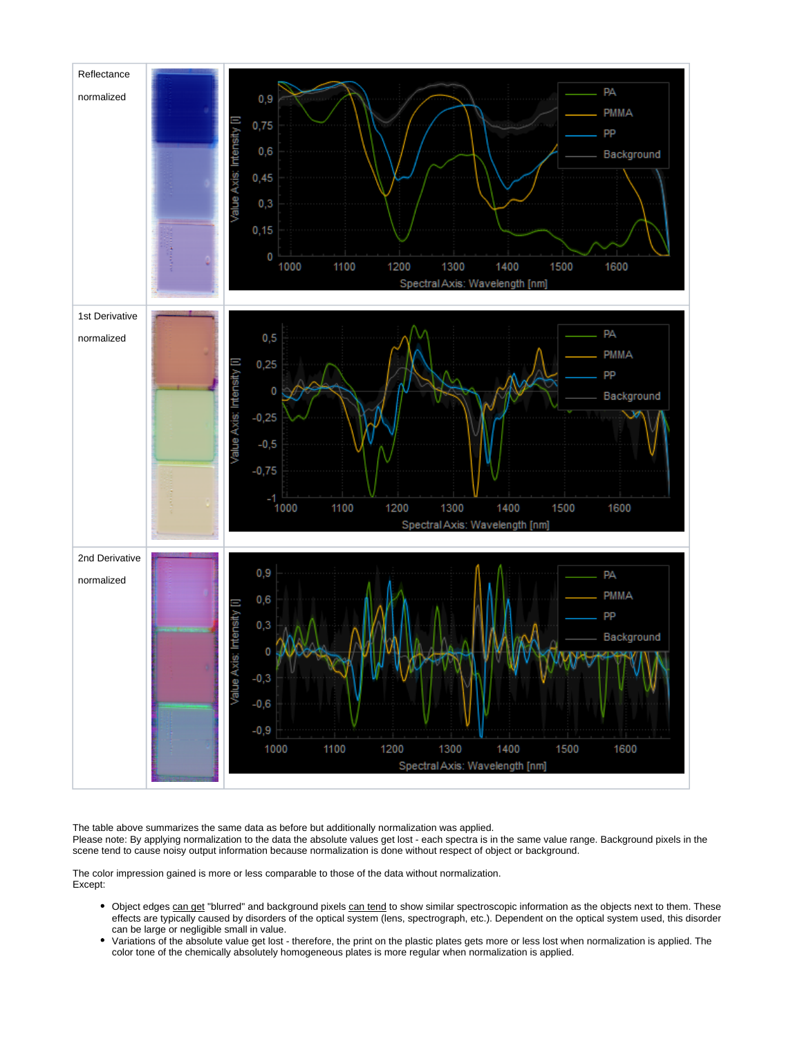

The table above summarizes the same data as before but additionally normalization was applied. Please note: By applying normalization to the data the absolute values get lost - each spectra is in the same value range. Background pixels in the scene tend to cause noisy output information because normalization is done without respect of object or background.

The color impression gained is more or less comparable to those of the data without normalization. Except:

- Object edges can get "blurred" and background pixels can tend to show similar spectroscopic information as the objects next to them. These effects are typically caused by disorders of the optical system (lens, spectrograph, etc.). Dependent on the optical system used, this disorder can be large or negligible small in value.
- Variations of the absolute value get lost therefore, the print on the plastic plates gets more or less lost when normalization is applied. The color tone of the chemically absolutely homogeneous plates is more regular when normalization is applied.